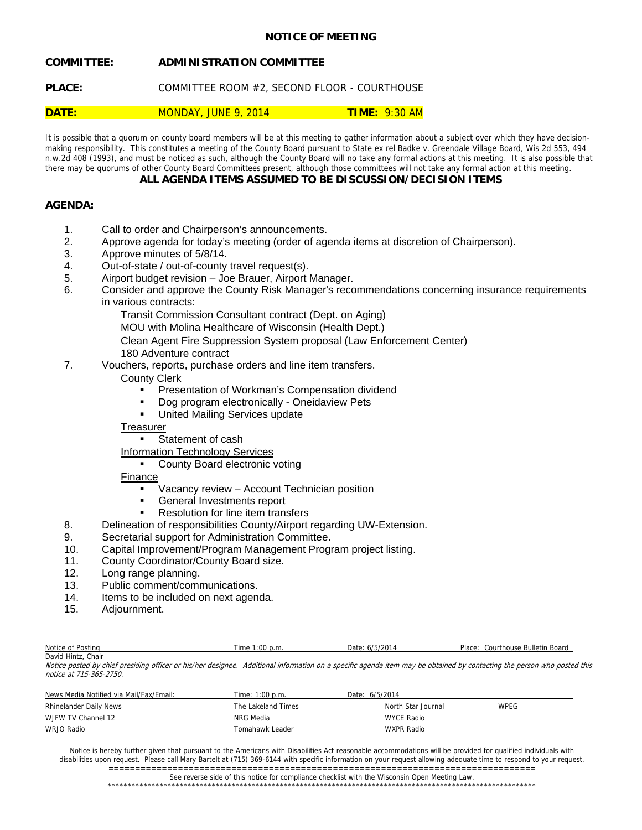# **NOTICE OF MEETING**

# **COMMITTEE: ADMINISTRATION COMMITTEE**

PLACE: COMMITTEE ROOM #2, SECOND FLOOR - COURTHOUSE

# **DATE:** MONDAY, JUNE 9, 2014 **TIME:** 9:30 AM

It is possible that a quorum on county board members will be at this meeting to gather information about a subject over which they have decisionmaking responsibility. This constitutes a meeting of the County Board pursuant to State ex rel Badke v. Greendale Village Board, Wis 2d 553, 494 n.w.2d 408 (1993), and must be noticed as such, although the County Board will no take any formal actions at this meeting. It is also possible that there may be quorums of other County Board Committees present, although those committees will not take any formal action at this meeting.

# **ALL AGENDA ITEMS ASSUMED TO BE DISCUSSION/DECISION ITEMS**

# **AGENDA:**

- 1. Call to order and Chairperson's announcements.
- 2. Approve agenda for today's meeting (order of agenda items at discretion of Chairperson).
- 3. Approve minutes of 5/8/14.
- 4. Out-of-state / out-of-county travel request(s).
- 5. Airport budget revision Joe Brauer, Airport Manager.
- 6. Consider and approve the County Risk Manager's recommendations concerning insurance requirements in various contracts:
	- Transit Commission Consultant contract (Dept. on Aging)
	- MOU with Molina Healthcare of Wisconsin (Health Dept.)
	- Clean Agent Fire Suppression System proposal (Law Enforcement Center)
	- 180 Adventure contract
- 7. Vouchers, reports, purchase orders and line item transfers.

## County Clerk

- Presentation of Workman's Compensation dividend
- Dog program electronically Oneidaview Pets
- **United Mailing Services update**

## **Treasurer**

- Statement of cash
- Information Technology Services

# • County Board electronic voting

# Finance

- Vacancy review Account Technician position
- General Investments report
- Resolution for line item transfers
- 8. Delineation of responsibilities County/Airport regarding UW-Extension.
- 9. Secretarial support for Administration Committee.
- 10. Capital Improvement/Program Management Program project listing.
- 11. County Coordinator/County Board size.
- 12. Long range planning.
- 13. Public comment/communications.
- 14. Items to be included on next agenda.
- 15. Adjournment.

| Notice of Posting     | $1:00$ p.m.<br>「ime | $I = I \cap \cap A$<br>Date:<br>6/5/2014 | Place:<br>Courthouse Bulletin Board |
|-----------------------|---------------------|------------------------------------------|-------------------------------------|
| David Hintz,<br>Chair |                     |                                          |                                     |

Notice posted by chief presiding officer or his/her designee. Additional information on a specific agenda item may be obtained by contacting the person who posted this notice at 715-365-2750.

| News Media Notified via Mail/Fax/Email: | Time: 1:00 p.m.    | Date: 6/5/2014     |             |
|-----------------------------------------|--------------------|--------------------|-------------|
| Rhinelander Daily News                  | The Lakeland Times | North Star Journal | <b>WPEG</b> |
| W.JFW TV Channel 12                     | NRG Media          | WYCE Radio         |             |
| WRJO Radio                              | Tomahawk Leader    | WXPR Radio         |             |

Notice is hereby further given that pursuant to the Americans with Disabilities Act reasonable accommodations will be provided for qualified individuals with disabilities upon request. Please call Mary Bartelt at (715) 369-6144 with specific information on your request allowing adequate time to respond to your request. ================================================================================

## See reverse side of this notice for compliance checklist with the Wisconsin Open Meeting Law.

\*\*\*\*\*\*\*\*\*\*\*\*\*\*\*\*\*\*\*\*\*\*\*\*\*\*\*\*\*\*\*\*\*\*\*\*\*\*\*\*\*\*\*\*\*\*\*\*\*\*\*\*\*\*\*\*\*\*\*\*\*\*\*\*\*\*\*\*\*\*\*\*\*\*\*\*\*\*\*\*\*\*\*\*\*\*\*\*\*\*\*\*\*\*\*\*\*\*\*\*\*\*\*\*\*\*\*